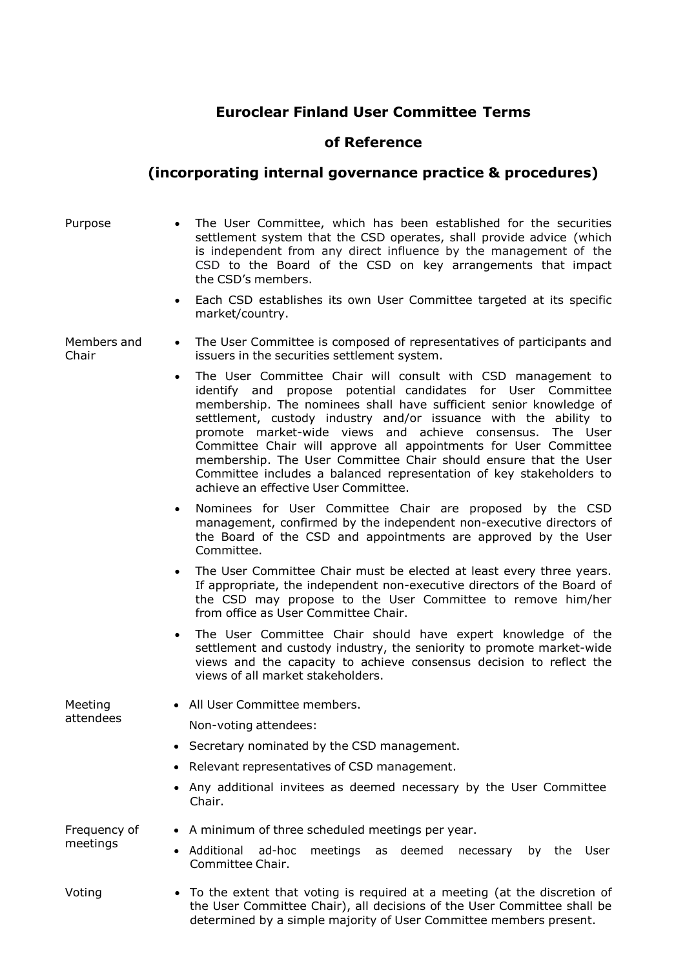## **Euroclear Finland User Committee Terms**

## **of Reference**

## **(incorporating internal governance practice & procedures)**

Purpose • The User Committee, which has been established for the securities settlement system that the CSD operates, shall provide advice (which is independent from any direct influence by the management of the CSD to the Board of the CSD on key arrangements that impact the CSD's members.

> Each CSD establishes its own User Committee targeted at its specific market/country.

Members and Chair

- The User Committee is composed of representatives of participants and issuers in the securities settlement system.
	- The User Committee Chair will consult with CSD management to identify and propose potential candidates for User Committee membership. The nominees shall have sufficient senior knowledge of settlement, custody industry and/or issuance with the ability to promote market-wide views and achieve consensus. The User Committee Chair will approve all appointments for User Committee membership. The User Committee Chair should ensure that the User Committee includes a balanced representation of key stakeholders to achieve an effective User Committee.
	- Nominees for User Committee Chair are proposed by the CSD management, confirmed by the independent non-executive directors of the Board of the CSD and appointments are approved by the User Committee.
	- The User Committee Chair must be elected at least every three years. If appropriate, the independent non-executive directors of the Board of the CSD may propose to the User Committee to remove him/her from office as User Committee Chair.
	- The User Committee Chair should have expert knowledge of the settlement and custody industry, the seniority to promote market-wide views and the capacity to achieve consensus decision to reflect the views of all market stakeholders.

Meeting attendees All User Committee members. Non-voting attendees:

- Secretary nominated by the CSD management.
- Relevant representatives of CSD management.
- Any additional invitees as deemed necessary by the User Committee Chair.

Frequency of meetings

- A minimum of three scheduled meetings per year.
- Additional ad-hoc meetings as deemed necessary by the User Committee Chair.
- 
- Voting To the extent that voting is required at a meeting (at the discretion of the User Committee Chair), all decisions of the User Committee shall be determined by a simple majority of User Committee members present.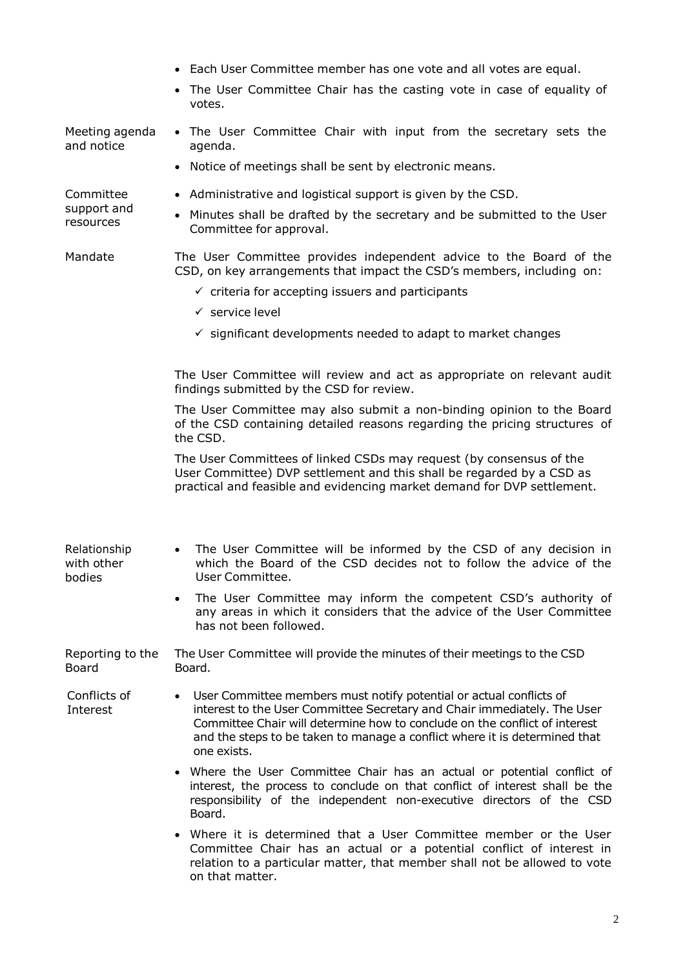|                                       | • Each User Committee member has one vote and all votes are equal.<br>• The User Committee Chair has the casting vote in case of equality of<br>votes.                                                                                                                                                                     |
|---------------------------------------|----------------------------------------------------------------------------------------------------------------------------------------------------------------------------------------------------------------------------------------------------------------------------------------------------------------------------|
| Meeting agenda<br>and notice          | • The User Committee Chair with input from the secretary sets the<br>agenda.<br>• Notice of meetings shall be sent by electronic means.                                                                                                                                                                                    |
| Committee<br>support and<br>resources | • Administrative and logistical support is given by the CSD.<br>• Minutes shall be drafted by the secretary and be submitted to the User<br>Committee for approval.                                                                                                                                                        |
| Mandate                               | The User Committee provides independent advice to the Board of the<br>CSD, on key arrangements that impact the CSD's members, including on:<br>$\checkmark$ criteria for accepting issuers and participants<br>$\checkmark$ service level<br>$\checkmark$ significant developments needed to adapt to market changes       |
|                                       | The User Committee will review and act as appropriate on relevant audit<br>findings submitted by the CSD for review.                                                                                                                                                                                                       |
|                                       | The User Committee may also submit a non-binding opinion to the Board<br>of the CSD containing detailed reasons regarding the pricing structures of<br>the CSD.                                                                                                                                                            |
|                                       | The User Committees of linked CSDs may request (by consensus of the<br>User Committee) DVP settlement and this shall be regarded by a CSD as<br>practical and feasible and evidencing market demand for DVP settlement.                                                                                                    |
| Relationship<br>with other<br>bodies  | • The User Committee will be informed by the CSD of any decision in<br>which the Board of the CSD decides not to follow the advice of the<br>User Committee.                                                                                                                                                               |
|                                       | The User Committee may inform the competent CSD's authority of<br>any areas in which it considers that the advice of the User Committee<br>has not been followed.                                                                                                                                                          |
| Reporting to the<br>Board             | The User Committee will provide the minutes of their meetings to the CSD<br>Board.                                                                                                                                                                                                                                         |
| Conflicts of<br>Interest              | User Committee members must notify potential or actual conflicts of<br>interest to the User Committee Secretary and Chair immediately. The User<br>Committee Chair will determine how to conclude on the conflict of interest<br>and the steps to be taken to manage a conflict where it is determined that<br>one exists. |
|                                       | • Where the User Committee Chair has an actual or potential conflict of<br>interest, the process to conclude on that conflict of interest shall be the<br>responsibility of the independent non-executive directors of the CSD<br>Board.                                                                                   |
|                                       | • Where it is determined that a User Committee member or the User<br>Committee Chair has an actual or a potential conflict of interest in<br>relation to a particular matter, that member shall not be allowed to vote<br>on that matter.                                                                                  |